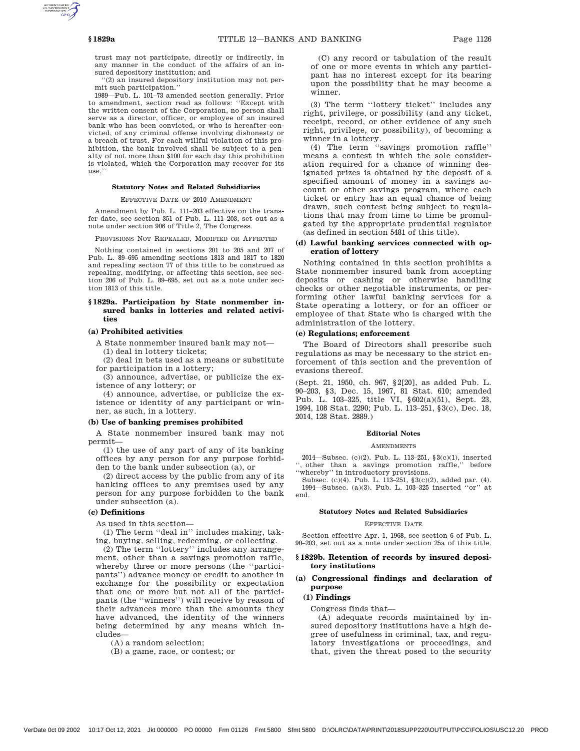trust may not participate, directly or indirectly, in any manner in the conduct of the affairs of an insured depository institution; and

''(2) an insured depository institution may not permit such participation.''

1989—Pub. L. 101–73 amended section generally. Prior to amendment, section read as follows: ''Except with the written consent of the Corporation, no person shall serve as a director, officer, or employee of an insured bank who has been convicted, or who is hereafter convicted, of any criminal offense involving dishonesty or a breach of trust. For each willful violation of this prohibition, the bank involved shall be subject to a penalty of not more than \$100 for each day this prohibition is violated, which the Corporation may recover for its use.''

#### **Statutory Notes and Related Subsidiaries**

EFFECTIVE DATE OF 2010 AMENDMENT

Amendment by Pub. L. 111–203 effective on the transfer date, see section 351 of Pub. L. 111–203, set out as a note under section 906 of Title 2, The Congress.

PROVISIONS NOT REPEALED, MODIFIED OR AFFECTED

Nothing contained in sections 201 to 205 and 207 of Pub. L. 89–695 amending sections 1813 and 1817 to 1820 and repealing section 77 of this title to be construed as repealing, modifying, or affecting this section, see section 206 of Pub. L. 89–695, set out as a note under section 1813 of this title.

# **§ 1829a. Participation by State nonmember insured banks in lotteries and related activities**

#### **(a) Prohibited activities**

A State nonmember insured bank may not— (1) deal in lottery tickets;

(2) deal in bets used as a means or substitute for participation in a lottery;

(3) announce, advertise, or publicize the existence of any lottery; or

(4) announce, advertise, or publicize the existence or identity of any participant or winner, as such, in a lottery.

### **(b) Use of banking premises prohibited**

A State nonmember insured bank may not permit—

(1) the use of any part of any of its banking offices by any person for any purpose forbidden to the bank under subsection (a), or

(2) direct access by the public from any of its banking offices to any premises used by any person for any purpose forbidden to the bank under subsection (a).

#### **(c) Definitions**

As used in this section—

(1) The term ''deal in'' includes making, taking, buying, selling, redeeming, or collecting.

(2) The term ''lottery'' includes any arrangement, other than a savings promotion raffle, whereby three or more persons (the ''participants'') advance money or credit to another in exchange for the possibility or expectation that one or more but not all of the participants (the ''winners'') will receive by reason of their advances more than the amounts they have advanced, the identity of the winners being determined by any means which includes—

(A) a random selection;

(B) a game, race, or contest; or

(C) any record or tabulation of the result of one or more events in which any participant has no interest except for its bearing upon the possibility that he may become a winner.

(3) The term ''lottery ticket'' includes any right, privilege, or possibility (and any ticket, receipt, record, or other evidence of any such right, privilege, or possibility), of becoming a winner in a lottery.

(4) The term ''savings promotion raffle'' means a contest in which the sole consideration required for a chance of winning designated prizes is obtained by the deposit of a specified amount of money in a savings account or other savings program, where each ticket or entry has an equal chance of being drawn, such contest being subject to regulations that may from time to time be promulgated by the appropriate prudential regulator (as defined in section 5481 of this title).

## **(d) Lawful banking services connected with operation of lottery**

Nothing contained in this section prohibits a State nonmember insured bank from accepting deposits or cashing or otherwise handling checks or other negotiable instruments, or performing other lawful banking services for a State operating a lottery, or for an officer or employee of that State who is charged with the administration of the lottery.

#### **(e) Regulations; enforcement**

The Board of Directors shall prescribe such regulations as may be necessary to the strict enforcement of this section and the prevention of evasions thereof.

(Sept. 21, 1950, ch. 967, §2[20], as added Pub. L. 90–203, §3, Dec. 15, 1967, 81 Stat. 610; amended Pub. L. 103–325, title VI, §602(a)(51), Sept. 23, 1994, 108 Stat. 2290; Pub. L. 113–251, §3(c), Dec. 18, 2014, 128 Stat. 2889.)

## **Editorial Notes**

**AMENDMENTS** 

2014—Subsec. (c)(2). Pub. L. 113–251, §3(c)(1), inserted '', other than a savings promotion raffle,'' before ''whereby'' in introductory provisions.

Subsec. (c)(4). Pub. L. 113–251, §3(c)(2), added par. (4). 1994—Subsec. (a)(3). Pub. L. 103–325 inserted ''or'' at end.

#### **Statutory Notes and Related Subsidiaries**

#### EFFECTIVE DATE

Section effective Apr. 1, 1968, see section 6 of Pub. L. 90–203, set out as a note under section 25a of this title.

## **§ 1829b. Retention of records by insured depository institutions**

## **(a) Congressional findings and declaration of purpose**

# **(1) Findings**

Congress finds that—

(A) adequate records maintained by insured depository institutions have a high degree of usefulness in criminal, tax, and regulatory investigations or proceedings, and that, given the threat posed to the security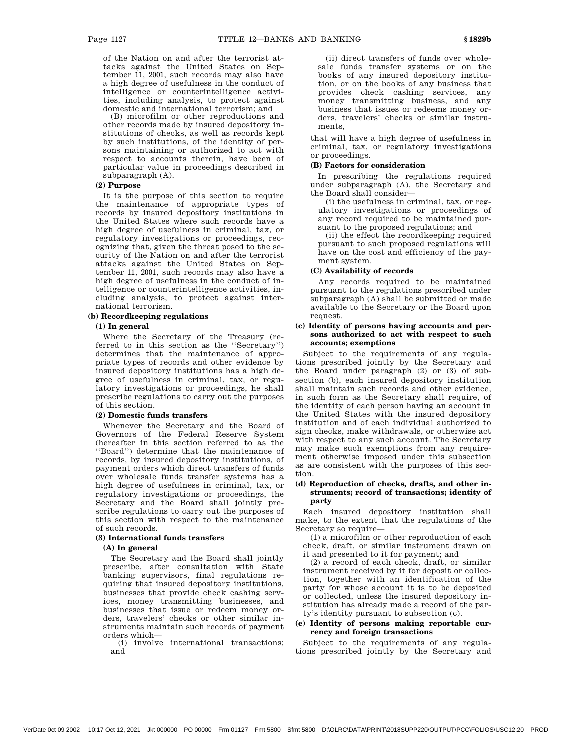of the Nation on and after the terrorist attacks against the United States on September 11, 2001, such records may also have a high degree of usefulness in the conduct of intelligence or counterintelligence activities, including analysis, to protect against domestic and international terrorism; and

(B) microfilm or other reproductions and other records made by insured depository institutions of checks, as well as records kept by such institutions, of the identity of persons maintaining or authorized to act with respect to accounts therein, have been of particular value in proceedings described in subparagraph (A).

## **(2) Purpose**

It is the purpose of this section to require the maintenance of appropriate types of records by insured depository institutions in the United States where such records have a high degree of usefulness in criminal, tax, or regulatory investigations or proceedings, recognizing that, given the threat posed to the security of the Nation on and after the terrorist attacks against the United States on September 11, 2001, such records may also have a high degree of usefulness in the conduct of intelligence or counterintelligence activities, including analysis, to protect against international terrorism.

## **(b) Recordkeeping regulations**

## **(1) In general**

Where the Secretary of the Treasury (referred to in this section as the ''Secretary'') determines that the maintenance of appropriate types of records and other evidence by insured depository institutions has a high degree of usefulness in criminal, tax, or regulatory investigations or proceedings, he shall prescribe regulations to carry out the purposes of this section.

#### **(2) Domestic funds transfers**

Whenever the Secretary and the Board of Governors of the Federal Reserve System (hereafter in this section referred to as the ''Board'') determine that the maintenance of records, by insured depository institutions, of payment orders which direct transfers of funds over wholesale funds transfer systems has a high degree of usefulness in criminal, tax, or regulatory investigations or proceedings, the Secretary and the Board shall jointly prescribe regulations to carry out the purposes of this section with respect to the maintenance of such records.

## **(3) International funds transfers**

## **(A) In general**

The Secretary and the Board shall jointly prescribe, after consultation with State banking supervisors, final regulations requiring that insured depository institutions, businesses that provide check cashing services, money transmitting businesses, and businesses that issue or redeem money orders, travelers' checks or other similar instruments maintain such records of payment orders which—

(i) involve international transactions; and

(ii) direct transfers of funds over wholesale funds transfer systems or on the books of any insured depository institution, or on the books of any business that provides check cashing services, any money transmitting business, and any business that issues or redeems money orders, travelers' checks or similar instruments,

that will have a high degree of usefulness in criminal, tax, or regulatory investigations or proceedings.

# **(B) Factors for consideration**

In prescribing the regulations required under subparagraph (A), the Secretary and the Board shall consider—

(i) the usefulness in criminal, tax, or regulatory investigations or proceedings of any record required to be maintained pursuant to the proposed regulations; and

(ii) the effect the recordkeeping required pursuant to such proposed regulations will have on the cost and efficiency of the payment system.

# **(C) Availability of records**

Any records required to be maintained pursuant to the regulations prescribed under subparagraph (A) shall be submitted or made available to the Secretary or the Board upon request.

# **(c) Identity of persons having accounts and persons authorized to act with respect to such accounts; exemptions**

Subject to the requirements of any regulations prescribed jointly by the Secretary and the Board under paragraph (2) or (3) of subsection (b), each insured depository institution shall maintain such records and other evidence, in such form as the Secretary shall require, of the identity of each person having an account in the United States with the insured depository institution and of each individual authorized to sign checks, make withdrawals, or otherwise act with respect to any such account. The Secretary may make such exemptions from any requirement otherwise imposed under this subsection as are consistent with the purposes of this section.

## **(d) Reproduction of checks, drafts, and other instruments; record of transactions; identity of party**

Each insured depository institution shall make, to the extent that the regulations of the Secretary so require—

(1) a microfilm or other reproduction of each check, draft, or similar instrument drawn on it and presented to it for payment; and

(2) a record of each check, draft, or similar instrument received by it for deposit or collection, together with an identification of the party for whose account it is to be deposited or collected, unless the insured depository institution has already made a record of the party's identity pursuant to subsection (c).

## **(e) Identity of persons making reportable currency and foreign transactions**

Subject to the requirements of any regulations prescribed jointly by the Secretary and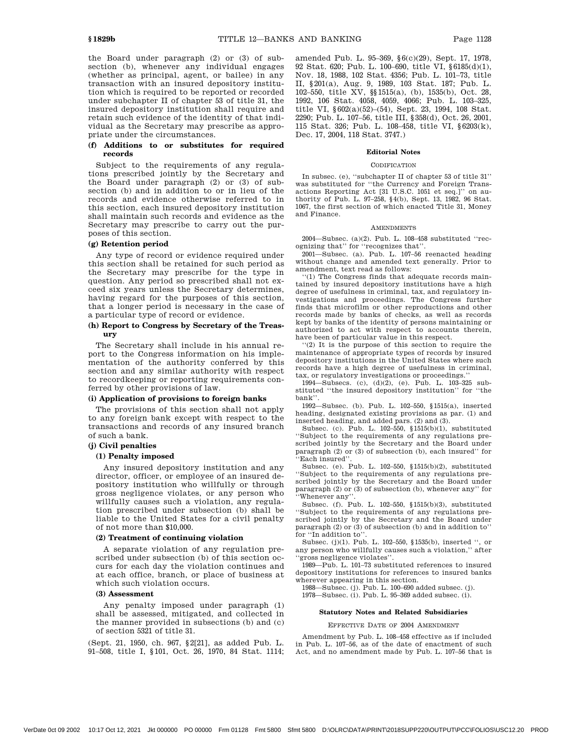the Board under paragraph (2) or (3) of subsection (b), whenever any individual engages (whether as principal, agent, or bailee) in any transaction with an insured depository institution which is required to be reported or recorded under subchapter II of chapter 53 of title 31, the insured depository institution shall require and retain such evidence of the identity of that individual as the Secretary may prescribe as appropriate under the circumstances.

# **(f) Additions to or substitutes for required records**

Subject to the requirements of any regulations prescribed jointly by the Secretary and the Board under paragraph (2) or (3) of subsection (b) and in addition to or in lieu of the records and evidence otherwise referred to in this section, each insured depository institution shall maintain such records and evidence as the Secretary may prescribe to carry out the purposes of this section.

#### **(g) Retention period**

Any type of record or evidence required under this section shall be retained for such period as the Secretary may prescribe for the type in question. Any period so prescribed shall not exceed six years unless the Secretary determines, having regard for the purposes of this section, that a longer period is necessary in the case of a particular type of record or evidence.

## **(h) Report to Congress by Secretary of the Treasury**

The Secretary shall include in his annual report to the Congress information on his implementation of the authority conferred by this section and any similar authority with respect to recordkeeping or reporting requirements conferred by other provisions of law.

#### **(i) Application of provisions to foreign banks**

The provisions of this section shall not apply to any foreign bank except with respect to the transactions and records of any insured branch of such a bank.

### **(j) Civil penalties**

#### **(1) Penalty imposed**

Any insured depository institution and any director, officer, or employee of an insured depository institution who willfully or through gross negligence violates, or any person who willfully causes such a violation, any regulation prescribed under subsection (b) shall be liable to the United States for a civil penalty of not more than \$10,000.

#### **(2) Treatment of continuing violation**

A separate violation of any regulation prescribed under subsection (b) of this section occurs for each day the violation continues and at each office, branch, or place of business at which such violation occurs.

## **(3) Assessment**

Any penalty imposed under paragraph (1) shall be assessed, mitigated, and collected in the manner provided in subsections (b) and (c) of section 5321 of title 31.

(Sept. 21, 1950, ch. 967, §2[21], as added Pub. L. 91–508, title I, §101, Oct. 26, 1970, 84 Stat. 1114; amended Pub. L. 95–369, §6(c)(29), Sept. 17, 1978, 92 Stat. 620; Pub. L. 100–690, title VI, §6185(d)(1), Nov. 18, 1988, 102 Stat. 4356; Pub. L. 101–73, title II, §201(a), Aug. 9, 1989, 103 Stat. 187; Pub. L. 102–550, title XV, §§1515(a), (b), 1535(b), Oct. 28, 1992, 106 Stat. 4058, 4059, 4066; Pub. L. 103–325, title VI, §602(a)(52)–(54), Sept. 23, 1994, 108 Stat. 2290; Pub. L. 107–56, title III, §358(d), Oct. 26, 2001, 115 Stat. 326; Pub. L. 108–458, title VI, §6203(k), Dec. 17, 2004, 118 Stat. 3747.)

#### **Editorial Notes**

#### **CODIFICATION**

In subsec. (e), ''subchapter II of chapter 53 of title 31'' was substituted for ''the Currency and Foreign Transactions Reporting Act [31 U.S.C. 1051 et seq.]'' on authority of Pub. L. 97–258, §4(b), Sept. 13, 1982, 96 Stat. 1067, the first section of which enacted Title 31, Money and Finance.

#### AMENDMENTS

2004—Subsec. (a)(2). Pub. L. 108–458 substituted ''recognizing that'' for ''recognizes that''.

2001—Subsec. (a). Pub. L. 107–56 reenacted heading without change and amended text generally. Prior to amendment, text read as follows:

''(1) The Congress finds that adequate records maintained by insured depository institutions have a high degree of usefulness in criminal, tax, and regulatory investigations and proceedings. The Congress further finds that microfilm or other reproductions and other records made by banks of checks, as well as records kept by banks of the identity of persons maintaining or authorized to act with respect to accounts therein, have been of particular value in this respect.

''(2) It is the purpose of this section to require the maintenance of appropriate types of records by insured depository institutions in the United States where such records have a high degree of usefulness in criminal, tax, or regulatory investigations or proceedings.

1994—Subsecs. (c), (d)(2), (e). Pub. L. 103–325 substituted ''the insured depository institution'' for ''the bank''.

1992—Subsec. (b). Pub. L. 102–550, §1515(a), inserted heading, designated existing provisions as par. (1) and inserted heading, and added pars. (2) and (3).

Subsec. (c). Pub. L. 102–550, §1515(b)(1), substituted ''Subject to the requirements of any regulations prescribed jointly by the Secretary and the Board under paragraph (2) or (3) of subsection (b), each insured'' for ''Each insured''.

Subsec. (e). Pub. L. 102–550, §1515(b)(2), substituted 'Subject to the requirements of any regulations prescribed jointly by the Secretary and the Board under paragraph (2) or (3) of subsection (b), whenever any'' for ''Whenever any''.

Subsec. (f). Pub. L. 102–550, §1515(b)(3), substituted ''Subject to the requirements of any regulations prescribed jointly by the Secretary and the Board under paragraph (2) or (3) of subsection (b) and in addition to'' for ''In addition to''.

Subsec. (j)(1). Pub. L. 102–550, §1535(b), inserted '', or any person who willfully causes such a violation,'' after ''gross negligence violates''.

1989—Pub. L. 101–73 substituted references to insured depository institutions for references to insured banks wherever appearing in this section.

1988—Subsec. (j). Pub. L. 100–690 added subsec. (j).

1978—Subsec. (i). Pub. L. 95–369 added subsec. (i).

#### **Statutory Notes and Related Subsidiaries**

#### EFFECTIVE DATE OF 2004 AMENDMENT

Amendment by Pub. L. 108–458 effective as if included in Pub. L. 107–56, as of the date of enactment of such Act, and no amendment made by Pub. L. 107–56 that is